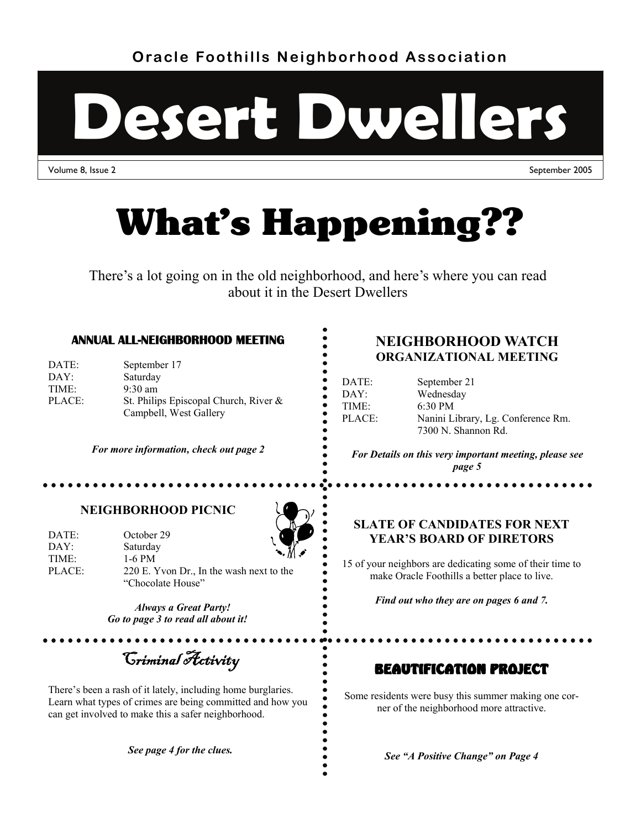**Oracle Foothills Neighborhood Association** 



Volume 8, Issue 2 September 2005



There's a lot going on in the old neighborhood, and here's where you can read about it in the Desert Dwellers

#### **ANNUAL ALL-NEIGHBORHOOD MEETING**

| DATE:  | September 17                             |
|--------|------------------------------------------|
| DAY:   | Saturday                                 |
| TIME:  | $9:30 \text{ am}$                        |
| PLACE: | St. Philips Episcopal Church, River $\&$ |
|        | Campbell, West Gallery                   |

*For more information, check out page 2* 

### **NEIGHBORHOOD WATCH ORGANIZATIONAL MEETING**

| DATE:             |  |
|-------------------|--|
| $DAY^+$           |  |
| TIME <sup>.</sup> |  |
| PLACE:            |  |
|                   |  |

September 21 Wednesday 6:30 PM Nanini Library, Lg. Conference Rm. 7300 N. Shannon Rd.

*For Details on this very important meeting, please see page 5* 

### **NEIGHBORHOOD PICNIC**

| DATE:             | October 29                               |              |
|-------------------|------------------------------------------|--------------|
| DAY:              | Saturday                                 | $\mathbb{R}$ |
| TIME <sup>.</sup> | 1-6 PM                                   |              |
| PLACE:            | 220 E. Yvon Dr., In the wash next to the |              |
|                   | "Chocolate House"                        |              |

*Always a Great Party! Go to page 3 to read all about it!*

Criminal Activity

There's been a rash of it lately, including home burglaries. Learn what types of crimes are being committed and how you can get involved to make this a safer neighborhood.

*See page 4 for the clues.* 

### **SLATE OF CANDIDATES FOR NEXT YEAR'S BOARD OF DIRETORS**

15 of your neighbors are dedicating some of their time to make Oracle Foothills a better place to live.

*Find out who they are on pages 6 and 7.* 

### BEAUTIFICATION PROJECT

Some residents were busy this summer making one corner of the neighborhood more attractive.

*See "A Positive Change" on Page 4*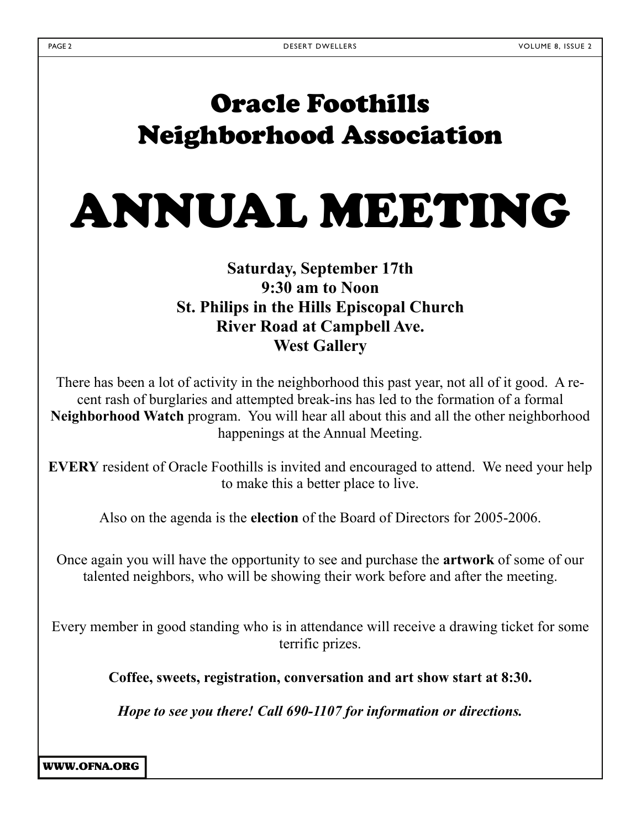# Oracle Foothills Neighborhood Association

ANNUAL MEETING

### **Saturday, September 17th 9:30 am to Noon St. Philips in the Hills Episcopal Church River Road at Campbell Ave. West Gallery**

There has been a lot of activity in the neighborhood this past year, not all of it good. A recent rash of burglaries and attempted break-ins has led to the formation of a formal **Neighborhood Watch** program. You will hear all about this and all the other neighborhood happenings at the Annual Meeting.

**EVERY** resident of Oracle Foothills is invited and encouraged to attend. We need your help to make this a better place to live.

Also on the agenda is the **election** of the Board of Directors for 2005-2006.

Once again you will have the opportunity to see and purchase the **artwork** of some of our talented neighbors, who will be showing their work before and after the meeting.

Every member in good standing who is in attendance will receive a drawing ticket for some terrific prizes.

**Coffee, sweets, registration, conversation and art show start at 8:30.** 

*Hope to see you there! Call 690-1107 for information or directions.*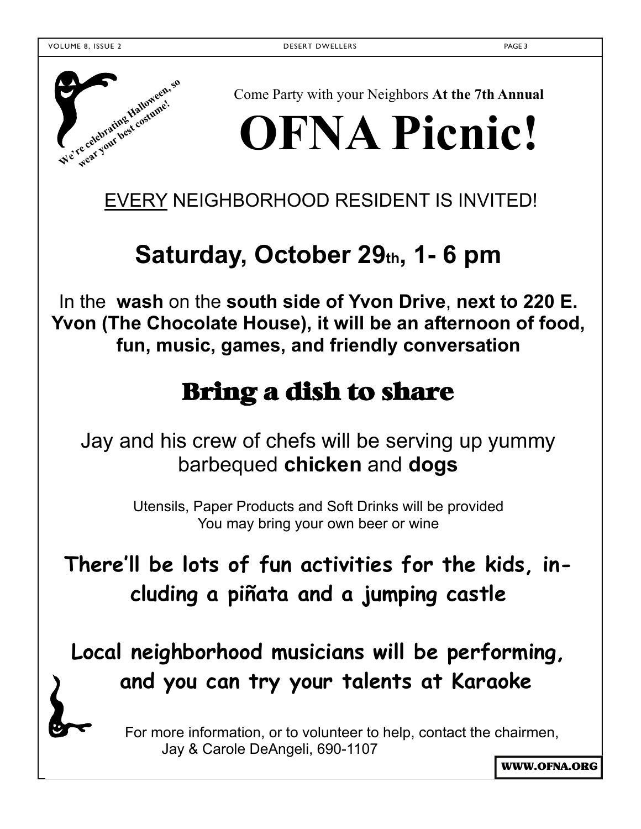

Come Party with your Neighbors **At the 7th Annual** 

# **OFNA Picnic!**

EVERY NEIGHBORHOOD RESIDENT IS INVITED!

# Saturday, October 29th, 1-6 pm

In the **wash** on the **south side of Yvon Drive**, **next to 220 E. Yvon (The Chocolate House), it will be an afternoon of food, fun, music, games, and friendly conversation** 

# Bring a dish to share

Jay and his crew of chefs will be serving up yummy barbequed **chicken** and **dogs**

> Utensils, Paper Products and Soft Drinks will be provided You may bring your own beer or wine

**There'll be lots of fun activities for the kids, including a piñata and a jumping castle** 

**Local neighborhood musicians will be performing, and you can try your talents at Karaoke** 

> For more information, or to volunteer to help, contact the chairmen, Jay & Carole DeAngeli, 690-1107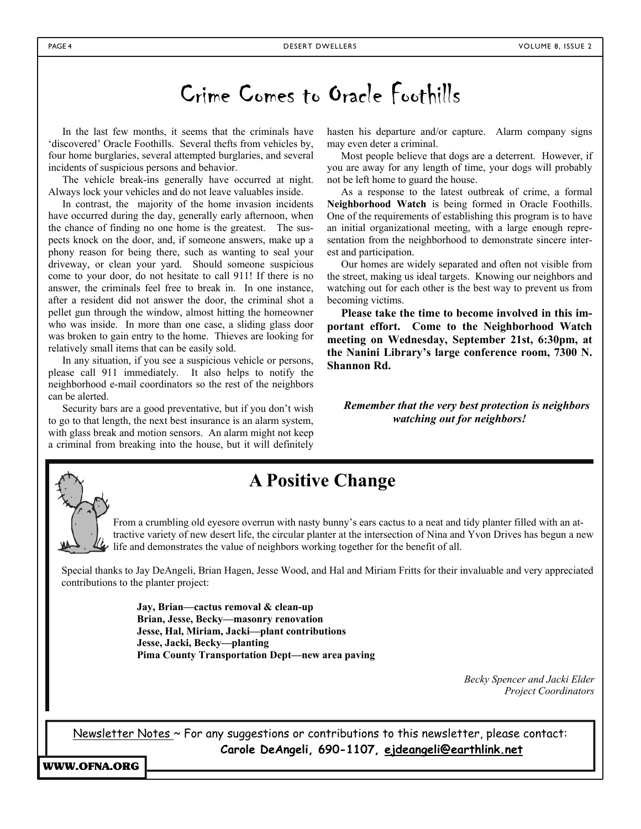# Crime Comes to Oracle Foothills

In the last few months, it seems that the criminals have 'discovered' Oracle Foothills. Several thefts from vehicles by, four home burglaries, several attempted burglaries, and several incidents of suspicious persons and behavior.

The vehicle break-ins generally have occurred at night. Always lock your vehicles and do not leave valuables inside.

In contrast, the majority of the home invasion incidents have occurred during the day, generally early afternoon, when the chance of finding no one home is the greatest. The suspects knock on the door, and, if someone answers, make up a phony reason for being there, such as wanting to seal your driveway, or clean your yard. Should someone suspicious come to your door, do not hesitate to call 911! If there is no answer, the criminals feel free to break in. In one instance, after a resident did not answer the door, the criminal shot a pellet gun through the window, almost hitting the homeowner who was inside. In more than one case, a sliding glass door was broken to gain entry to the home. Thieves are looking for relatively small items that can be easily sold.

In any situation, if you see a suspicious vehicle or persons, please call 911 immediately. It also helps to notify the neighborhood e-mail coordinators so the rest of the neighbors can be alerted.

Security bars are a good preventative, but if you don't wish to go to that length, the next best insurance is an alarm system, with glass break and motion sensors. An alarm might not keep a criminal from breaking into the house, but it will definitely

hasten his departure and/or capture. Alarm company signs may even deter a criminal.

Most people believe that dogs are a deterrent. However, if you are away for any length of time, your dogs will probably not be left home to guard the house.

As a response to the latest outbreak of crime, a formal **Neighborhood Watch** is being formed in Oracle Foothills. One of the requirements of establishing this program is to have an initial organizational meeting, with a large enough representation from the neighborhood to demonstrate sincere interest and participation.

Our homes are widely separated and often not visible from the street, making us ideal targets. Knowing our neighbors and watching out for each other is the best way to prevent us from becoming victims.

**Please take the time to become involved in this important effort. Come to the Neighborhood Watch meeting on Wednesday, September 21st, 6:30pm, at the Nanini Library's large conference room, 7300 N. Shannon Rd.**

*Remember that the very best protection is neighbors watching out for neighbors!* 



## **A Positive Change**

From a crumbling old eyesore overrun with nasty bunny's ears cactus to a neat and tidy planter filled with an attractive variety of new desert life, the circular planter at the intersection of Nina and Yvon Drives has begun a new life and demonstrates the value of neighbors working together for the benefit of all.

Special thanks to Jay DeAngeli, Brian Hagen, Jesse Wood, and Hal and Miriam Fritts for their invaluable and very appreciated contributions to the planter project:

> **Jay, Brian—cactus removal & clean-up Brian, Jesse, Becky—masonry renovation Jesse, Hal, Miriam, Jacki—plant contributions Jesse, Jacki, Becky—planting Pima County Transportation Dept—new area paving**

> > *Becky Spencer and Jacki Elder Project Coordinators*

Newsletter Notes ~ For any suggestions or contributions to this newsletter, please contact: **Carole DeAngeli, 690-1107, ejdeangeli@earthlink.net**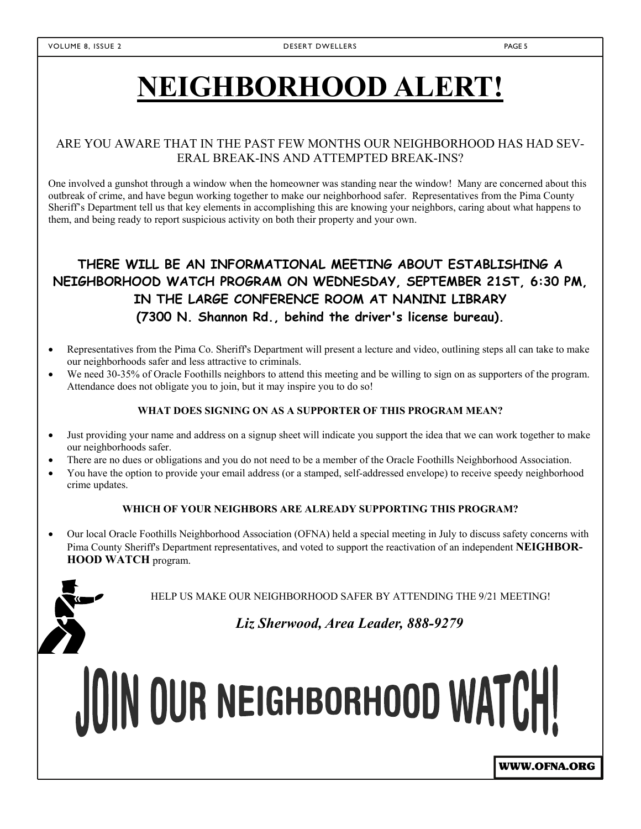# **NEIGHBORHOOD ALERT!**

### ARE YOU AWARE THAT IN THE PAST FEW MONTHS OUR NEIGHBORHOOD HAS HAD SEV-ERAL BREAK-INS AND ATTEMPTED BREAK-INS?

One involved a gunshot through a window when the homeowner was standing near the window! Many are concerned about this outbreak of crime, and have begun working together to make our neighborhood safer. Representatives from the Pima County Sheriff's Department tell us that key elements in accomplishing this are knowing your neighbors, caring about what happens to them, and being ready to report suspicious activity on both their property and your own.

### **THERE WILL BE AN INFORMATIONAL MEETING ABOUT ESTABLISHING A NEIGHBORHOOD WATCH PROGRAM ON WEDNESDAY, SEPTEMBER 21ST, 6:30 PM, IN THE LARGE CONFERENCE ROOM AT NANINI LIBRARY (7300 N. Shannon Rd., behind the driver's license bureau).**

- Representatives from the Pima Co. Sheriff's Department will present a lecture and video, outlining steps all can take to make our neighborhoods safer and less attractive to criminals.
- We need 30-35% of Oracle Foothills neighbors to attend this meeting and be willing to sign on as supporters of the program. Attendance does not obligate you to join, but it may inspire you to do so!

#### **WHAT DOES SIGNING ON AS A SUPPORTER OF THIS PROGRAM MEAN?**

- Just providing your name and address on a signup sheet will indicate you support the idea that we can work together to make our neighborhoods safer.
- There are no dues or obligations and you do not need to be a member of the Oracle Foothills Neighborhood Association.
- You have the option to provide your email address (or a stamped, self-addressed envelope) to receive speedy neighborhood crime updates.

#### **WHICH OF YOUR NEIGHBORS ARE ALREADY SUPPORTING THIS PROGRAM?**

 Our local Oracle Foothills Neighborhood Association (OFNA) held a special meeting in July to discuss safety concerns with Pima County Sheriff's Department representatives, and voted to support the reactivation of an independent **NEIGHBOR-HOOD WATCH** program.



HELP US MAKE OUR NEIGHBORHOOD SAFER BY ATTENDING THE 9/21 MEETING!

*Liz Sherwood, Area Leader, 888-9279* 

JOIN OUR NEIGHBORHOOD WATCH!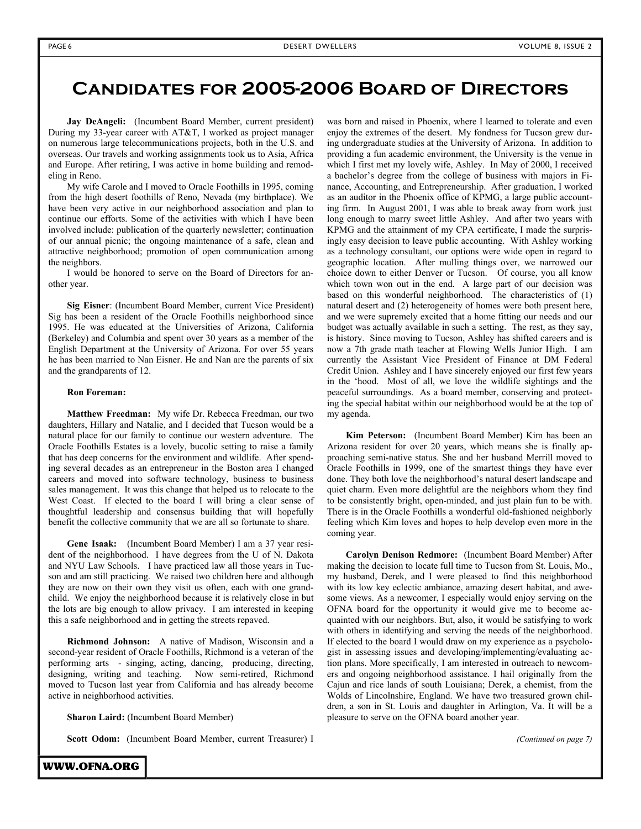### **Candidates for 2005-2006 Board of Directors**

**Jay DeAngeli:** (Incumbent Board Member, current president) During my 33-year career with AT&T, I worked as project manager on numerous large telecommunications projects, both in the U.S. and overseas. Our travels and working assignments took us to Asia, Africa and Europe. After retiring, I was active in home building and remodeling in Reno.

My wife Carole and I moved to Oracle Foothills in 1995, coming from the high desert foothills of Reno, Nevada (my birthplace). We have been very active in our neighborhood association and plan to continue our efforts. Some of the activities with which I have been involved include: publication of the quarterly newsletter; continuation of our annual picnic; the ongoing maintenance of a safe, clean and attractive neighborhood; promotion of open communication among the neighbors.

I would be honored to serve on the Board of Directors for another year.

**Sig Eisner**: (Incumbent Board Member, current Vice President) Sig has been a resident of the Oracle Foothills neighborhood since 1995. He was educated at the Universities of Arizona, California (Berkeley) and Columbia and spent over 30 years as a member of the English Department at the University of Arizona. For over 55 years he has been married to Nan Eisner. He and Nan are the parents of six and the grandparents of 12.

#### **Ron Foreman:**

**Matthew Freedman:** My wife Dr. Rebecca Freedman, our two daughters, Hillary and Natalie, and I decided that Tucson would be a natural place for our family to continue our western adventure. The Oracle Foothills Estates is a lovely, bucolic setting to raise a family that has deep concerns for the environment and wildlife. After spending several decades as an entrepreneur in the Boston area I changed careers and moved into software technology, business to business sales management. It was this change that helped us to relocate to the West Coast. If elected to the board I will bring a clear sense of thoughtful leadership and consensus building that will hopefully benefit the collective community that we are all so fortunate to share.

**Gene Isaak:** (Incumbent Board Member) I am a 37 year resident of the neighborhood. I have degrees from the U of N. Dakota and NYU Law Schools. I have practiced law all those years in Tucson and am still practicing. We raised two children here and although they are now on their own they visit us often, each with one grandchild. We enjoy the neighborhood because it is relatively close in but the lots are big enough to allow privacy. I am interested in keeping this a safe neighborhood and in getting the streets repaved.

**Richmond Johnson:** A native of Madison, Wisconsin and a second-year resident of Oracle Foothills, Richmond is a veteran of the performing arts - singing, acting, dancing, producing, directing, designing, writing and teaching. Now semi-retired, Richmond moved to Tucson last year from California and has already become active in neighborhood activities.

**Sharon Laird:** (Incumbent Board Member)

**Scott Odom:** (Incumbent Board Member, current Treasurer) I

WWW.OFNA.ORG

was born and raised in Phoenix, where I learned to tolerate and even enjoy the extremes of the desert. My fondness for Tucson grew during undergraduate studies at the University of Arizona. In addition to providing a fun academic environment, the University is the venue in which I first met my lovely wife, Ashley. In May of 2000, I received a bachelor's degree from the college of business with majors in Finance, Accounting, and Entrepreneurship. After graduation, I worked as an auditor in the Phoenix office of KPMG, a large public accounting firm. In August 2001, I was able to break away from work just long enough to marry sweet little Ashley. And after two years with KPMG and the attainment of my CPA certificate, I made the surprisingly easy decision to leave public accounting. With Ashley working as a technology consultant, our options were wide open in regard to geographic location. After mulling things over, we narrowed our choice down to either Denver or Tucson. Of course, you all know which town won out in the end. A large part of our decision was based on this wonderful neighborhood. The characteristics of (1) natural desert and (2) heterogeneity of homes were both present here, and we were supremely excited that a home fitting our needs and our budget was actually available in such a setting. The rest, as they say, is history. Since moving to Tucson, Ashley has shifted careers and is now a 7th grade math teacher at Flowing Wells Junior High. I am currently the Assistant Vice President of Finance at DM Federal Credit Union. Ashley and I have sincerely enjoyed our first few years in the 'hood. Most of all, we love the wildlife sightings and the peaceful surroundings. As a board member, conserving and protecting the special habitat within our neighborhood would be at the top of my agenda.

**Kim Peterson:** (Incumbent Board Member) Kim has been an Arizona resident for over 20 years, which means she is finally approaching semi-native status. She and her husband Merrill moved to Oracle Foothills in 1999, one of the smartest things they have ever done. They both love the neighborhood's natural desert landscape and quiet charm. Even more delightful are the neighbors whom they find to be consistently bright, open-minded, and just plain fun to be with. There is in the Oracle Foothills a wonderful old-fashioned neighborly feeling which Kim loves and hopes to help develop even more in the coming year.

**Carolyn Denison Redmore:** (Incumbent Board Member) After making the decision to locate full time to Tucson from St. Louis, Mo., my husband, Derek, and I were pleased to find this neighborhood with its low key eclectic ambiance, amazing desert habitat, and awesome views. As a newcomer, I especially would enjoy serving on the OFNA board for the opportunity it would give me to become acquainted with our neighbors. But, also, it would be satisfying to work with others in identifying and serving the needs of the neighborhood. If elected to the board I would draw on my experience as a psychologist in assessing issues and developing/implementing/evaluating action plans. More specifically, I am interested in outreach to newcomers and ongoing neighborhood assistance. I hail originally from the Cajun and rice lands of south Louisiana; Derek, a chemist, from the Wolds of Lincolnshire, England. We have two treasured grown children, a son in St. Louis and daughter in Arlington, Va. It will be a pleasure to serve on the OFNA board another year.

*(Continued on page 7)*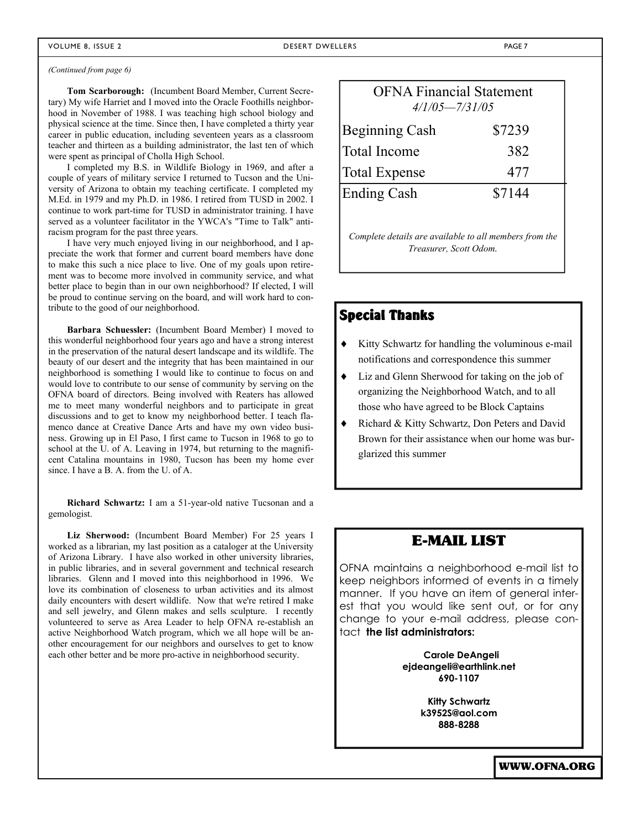#### *(Continued from page 6)*

**Tom Scarborough:** (Incumbent Board Member, Current Secretary) My wife Harriet and I moved into the Oracle Foothills neighborhood in November of 1988. I was teaching high school biology and physical science at the time. Since then, I have completed a thirty year career in public education, including seventeen years as a classroom teacher and thirteen as a building administrator, the last ten of which were spent as principal of Cholla High School.

I completed my B.S. in Wildlife Biology in 1969, and after a couple of years of military service I returned to Tucson and the University of Arizona to obtain my teaching certificate. I completed my M.Ed. in 1979 and my Ph.D. in 1986. I retired from TUSD in 2002. I continue to work part-time for TUSD in administrator training. I have served as a volunteer facilitator in the YWCA's "Time to Talk" antiracism program for the past three years.

I have very much enjoyed living in our neighborhood, and I appreciate the work that former and current board members have done to make this such a nice place to live. One of my goals upon retirement was to become more involved in community service, and what better place to begin than in our own neighborhood? If elected, I will be proud to continue serving on the board, and will work hard to contribute to the good of our neighborhood.

**Barbara Schuessler:** (Incumbent Board Member) I moved to this wonderful neighborhood four years ago and have a strong interest in the preservation of the natural desert landscape and its wildlife. The beauty of our desert and the integrity that has been maintained in our neighborhood is something I would like to continue to focus on and would love to contribute to our sense of community by serving on the OFNA board of directors. Being involved with Reaters has allowed me to meet many wonderful neighbors and to participate in great discussions and to get to know my neighborhood better. I teach flamenco dance at Creative Dance Arts and have my own video business. Growing up in El Paso, I first came to Tucson in 1968 to go to school at the U. of A. Leaving in 1974, but returning to the magnificent Catalina mountains in 1980, Tucson has been my home ever since. I have a B. A. from the U. of A.

**Richard Schwartz:** I am a 51-year-old native Tucsonan and a gemologist.

**Liz Sherwood:** (Incumbent Board Member) For 25 years I worked as a librarian, my last position as a cataloger at the University of Arizona Library. I have also worked in other university libraries, in public libraries, and in several government and technical research libraries. Glenn and I moved into this neighborhood in 1996. We love its combination of closeness to urban activities and its almost daily encounters with desert wildlife. Now that we're retired I make and sell jewelry, and Glenn makes and sells sculpture. I recently volunteered to serve as Area Leader to help OFNA re-establish an active Neighborhood Watch program, which we all hope will be another encouragement for our neighbors and ourselves to get to know each other better and be more pro-active in neighborhood security.

| <b>OFNA Financial Statement</b><br>$4/1/05 = 7/31/05$                            |        |  |  |  |  |
|----------------------------------------------------------------------------------|--------|--|--|--|--|
| <b>Beginning Cash</b>                                                            | \$7239 |  |  |  |  |
| <b>Total Income</b>                                                              | 382    |  |  |  |  |
| <b>Total Expense</b>                                                             | 477    |  |  |  |  |
| <b>Ending Cash</b>                                                               | \$7144 |  |  |  |  |
| Complete details are available to all members from the<br>Treasurer, Scott Odom. |        |  |  |  |  |

### Special Thanks

- Kitty Schwartz for handling the voluminous e-mail notifications and correspondence this summer
- Liz and Glenn Sherwood for taking on the job of organizing the Neighborhood Watch, and to all those who have agreed to be Block Captains
- Richard & Kitty Schwartz, Don Peters and David Brown for their assistance when our home was burglarized this summer

### E-MAIL LIST

OFNA maintains a neighborhood e-mail list to keep neighbors informed of events in a timely manner. If you have an item of general interest that you would like sent out, or for any change to your e-mail address, please contact **the list administrators:** 

> **Carole DeAngeli ejdeangeli@earthlink.net 690-1107**

> > **Kitty Schwartz k3952S@aol.com 888-8288**